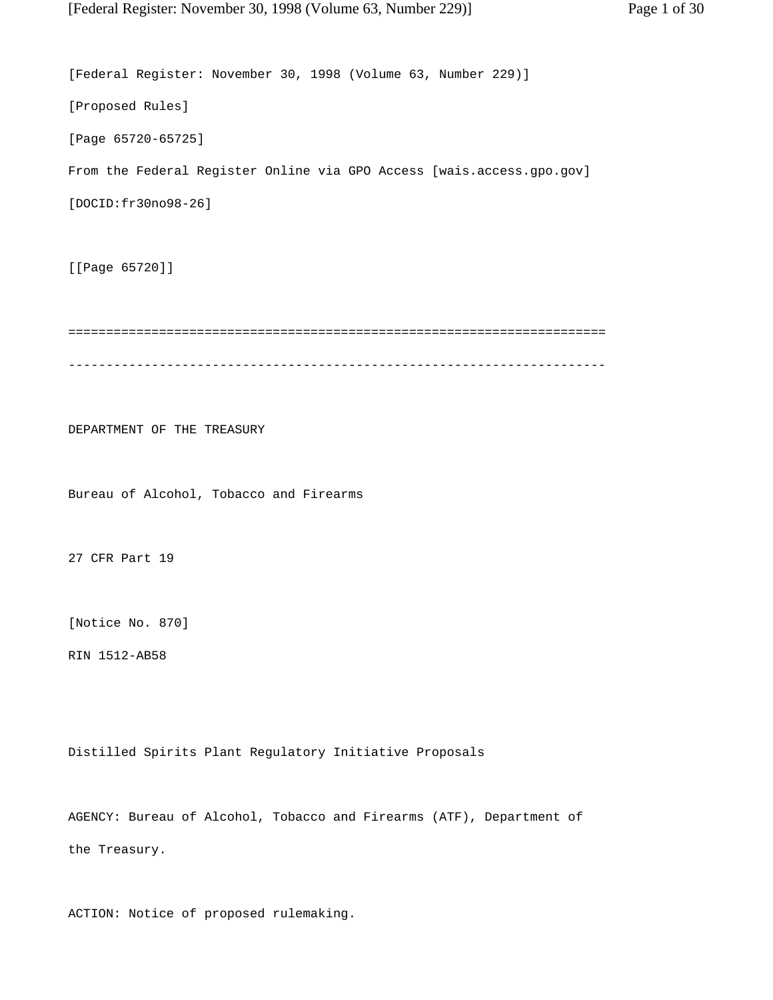[Federal Register: November 30, 1998 (Volume 63, Number 229)] [Proposed Rules] [Page 65720-65725] From the Federal Register Online via GPO Access [wais.access.gpo.gov] [DOCID:fr30no98-26] [[Page 65720]] ======================================================================= ----------------------------------------------------------------------- DEPARTMENT OF THE TREASURY Bureau of Alcohol, Tobacco and Firearms 27 CFR Part 19 [Notice No. 870] RIN 1512-AB58 Distilled Spirits Plant Regulatory Initiative Proposals

AGENCY: Bureau of Alcohol, Tobacco and Firearms (ATF), Department of the Treasury.

ACTION: Notice of proposed rulemaking.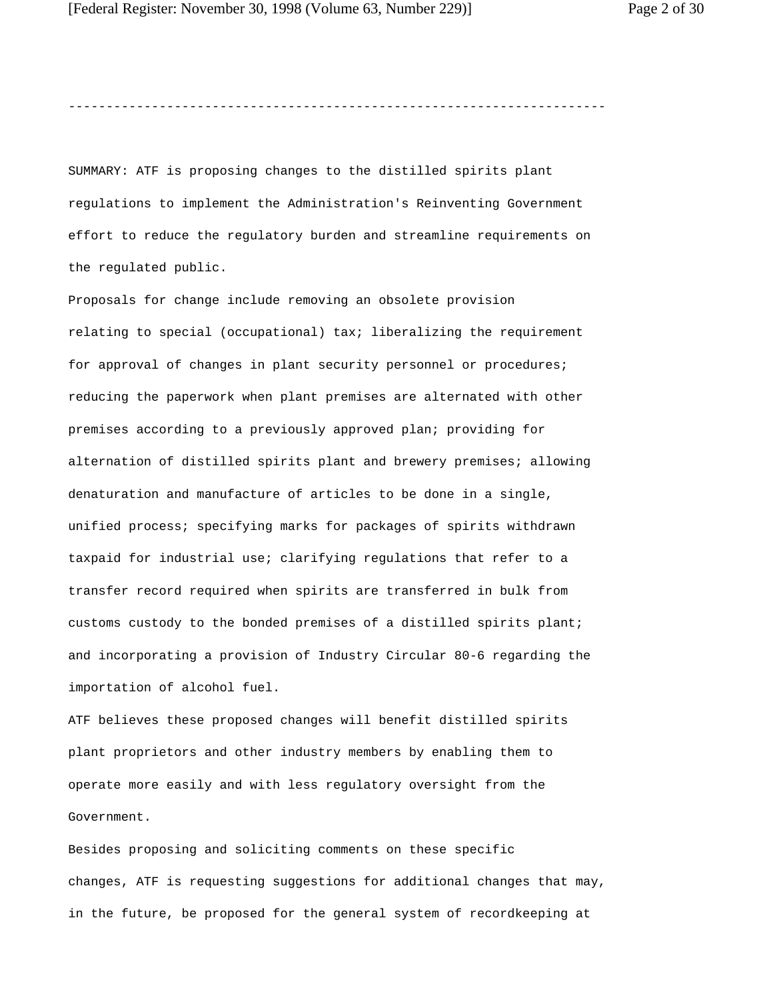-----------------------------------------------------------------------

SUMMARY: ATF is proposing changes to the distilled spirits plant regulations to implement the Administration's Reinventing Government effort to reduce the regulatory burden and streamline requirements on the regulated public.

Proposals for change include removing an obsolete provision relating to special (occupational) tax; liberalizing the requirement for approval of changes in plant security personnel or procedures; reducing the paperwork when plant premises are alternated with other premises according to a previously approved plan; providing for alternation of distilled spirits plant and brewery premises; allowing denaturation and manufacture of articles to be done in a single, unified process; specifying marks for packages of spirits withdrawn taxpaid for industrial use; clarifying regulations that refer to a transfer record required when spirits are transferred in bulk from customs custody to the bonded premises of a distilled spirits plant; and incorporating a provision of Industry Circular 80-6 regarding the importation of alcohol fuel.

ATF believes these proposed changes will benefit distilled spirits plant proprietors and other industry members by enabling them to operate more easily and with less regulatory oversight from the Government.

Besides proposing and soliciting comments on these specific changes, ATF is requesting suggestions for additional changes that may, in the future, be proposed for the general system of recordkeeping at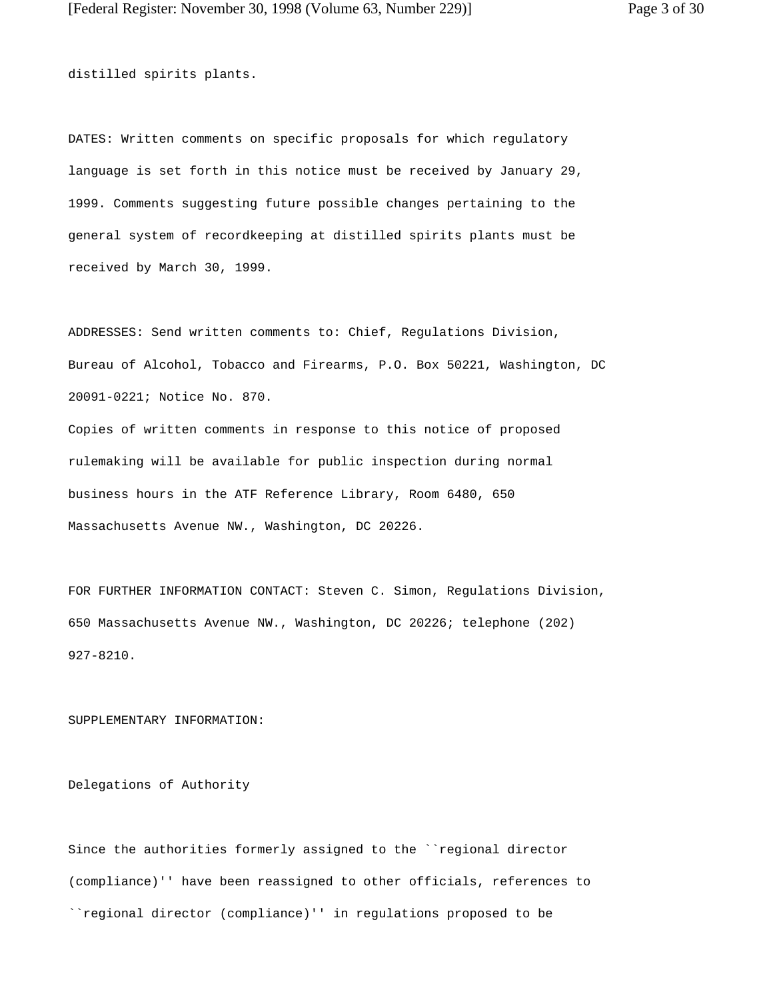distilled spirits plants.

DATES: Written comments on specific proposals for which regulatory language is set forth in this notice must be received by January 29, 1999. Comments suggesting future possible changes pertaining to the general system of recordkeeping at distilled spirits plants must be received by March 30, 1999.

ADDRESSES: Send written comments to: Chief, Regulations Division, Bureau of Alcohol, Tobacco and Firearms, P.O. Box 50221, Washington, DC 20091-0221; Notice No. 870.

Copies of written comments in response to this notice of proposed rulemaking will be available for public inspection during normal business hours in the ATF Reference Library, Room 6480, 650 Massachusetts Avenue NW., Washington, DC 20226.

FOR FURTHER INFORMATION CONTACT: Steven C. Simon, Regulations Division, 650 Massachusetts Avenue NW., Washington, DC 20226; telephone (202) 927-8210.

SUPPLEMENTARY INFORMATION:

Delegations of Authority

Since the authorities formerly assigned to the ``regional director (compliance)'' have been reassigned to other officials, references to ``regional director (compliance)'' in regulations proposed to be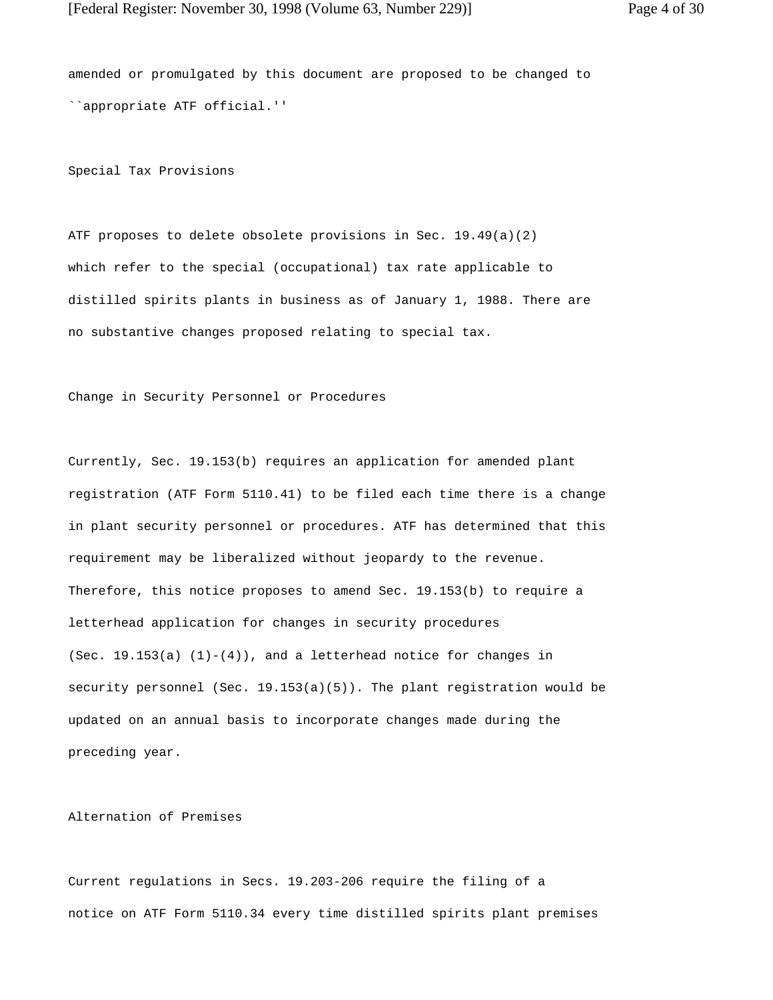amended or promulgated by this document are proposed to be changed to ``appropriate ATF official.''

Special Tax Provisions

ATF proposes to delete obsolete provisions in Sec. 19.49(a)(2) which refer to the special (occupational) tax rate applicable to distilled spirits plants in business as of January 1, 1988. There are no substantive changes proposed relating to special tax.

Change in Security Personnel or Procedures

Currently, Sec. 19.153(b) requires an application for amended plant registration (ATF Form 5110.41) to be filed each time there is a change in plant security personnel or procedures. ATF has determined that this requirement may be liberalized without jeopardy to the revenue. Therefore, this notice proposes to amend Sec. 19.153(b) to require a letterhead application for changes in security procedures (Sec.  $19.153(a)$   $(1)-(4)$ ), and a letterhead notice for changes in security personnel (Sec. 19.153(a)(5)). The plant registration would be updated on an annual basis to incorporate changes made during the preceding year.

Alternation of Premises

Current regulations in Secs. 19.203-206 require the filing of a notice on ATF Form 5110.34 every time distilled spirits plant premises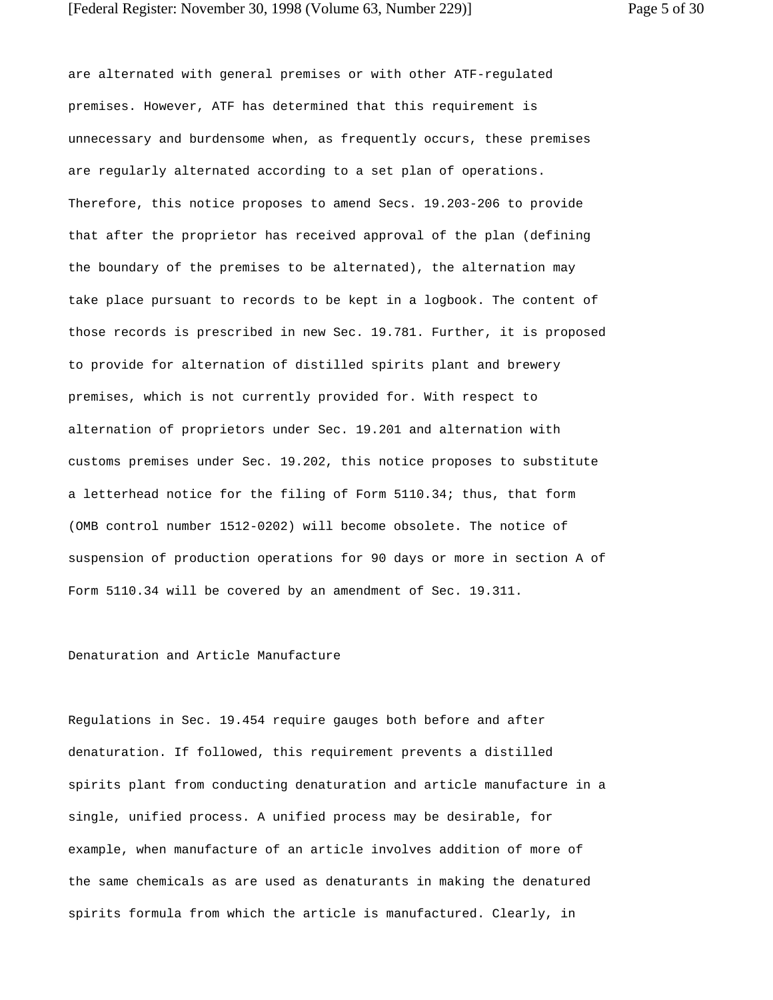are alternated with general premises or with other ATF-regulated premises. However, ATF has determined that this requirement is unnecessary and burdensome when, as frequently occurs, these premises are regularly alternated according to a set plan of operations. Therefore, this notice proposes to amend Secs. 19.203-206 to provide that after the proprietor has received approval of the plan (defining the boundary of the premises to be alternated), the alternation may take place pursuant to records to be kept in a logbook. The content of those records is prescribed in new Sec. 19.781. Further, it is proposed to provide for alternation of distilled spirits plant and brewery premises, which is not currently provided for. With respect to alternation of proprietors under Sec. 19.201 and alternation with customs premises under Sec. 19.202, this notice proposes to substitute a letterhead notice for the filing of Form 5110.34; thus, that form (OMB control number 1512-0202) will become obsolete. The notice of suspension of production operations for 90 days or more in section A of Form 5110.34 will be covered by an amendment of Sec. 19.311.

# Denaturation and Article Manufacture

Regulations in Sec. 19.454 require gauges both before and after denaturation. If followed, this requirement prevents a distilled spirits plant from conducting denaturation and article manufacture in a single, unified process. A unified process may be desirable, for example, when manufacture of an article involves addition of more of the same chemicals as are used as denaturants in making the denatured spirits formula from which the article is manufactured. Clearly, in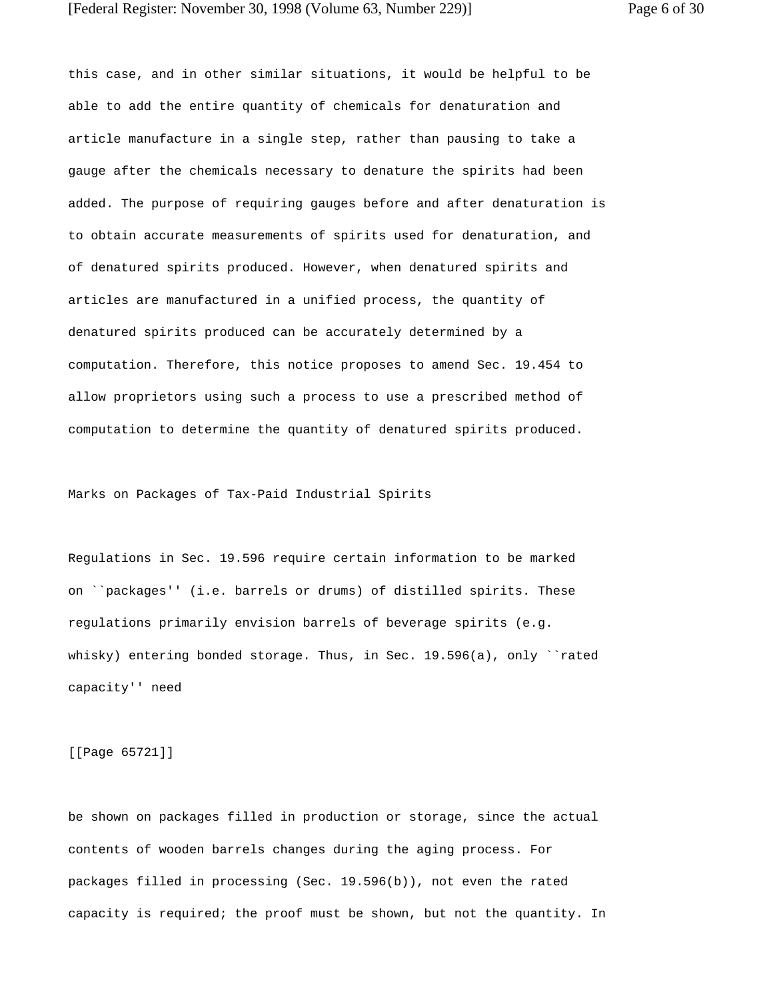this case, and in other similar situations, it would be helpful to be able to add the entire quantity of chemicals for denaturation and article manufacture in a single step, rather than pausing to take a gauge after the chemicals necessary to denature the spirits had been added. The purpose of requiring gauges before and after denaturation is to obtain accurate measurements of spirits used for denaturation, and of denatured spirits produced. However, when denatured spirits and articles are manufactured in a unified process, the quantity of denatured spirits produced can be accurately determined by a computation. Therefore, this notice proposes to amend Sec. 19.454 to allow proprietors using such a process to use a prescribed method of computation to determine the quantity of denatured spirits produced.

Marks on Packages of Tax-Paid Industrial Spirits

Regulations in Sec. 19.596 require certain information to be marked on ``packages'' (i.e. barrels or drums) of distilled spirits. These regulations primarily envision barrels of beverage spirits (e.g. whisky) entering bonded storage. Thus, in Sec.  $19.596(a)$ , only ``rated capacity'' need

[[Page 65721]]

be shown on packages filled in production or storage, since the actual contents of wooden barrels changes during the aging process. For packages filled in processing (Sec. 19.596(b)), not even the rated capacity is required; the proof must be shown, but not the quantity. In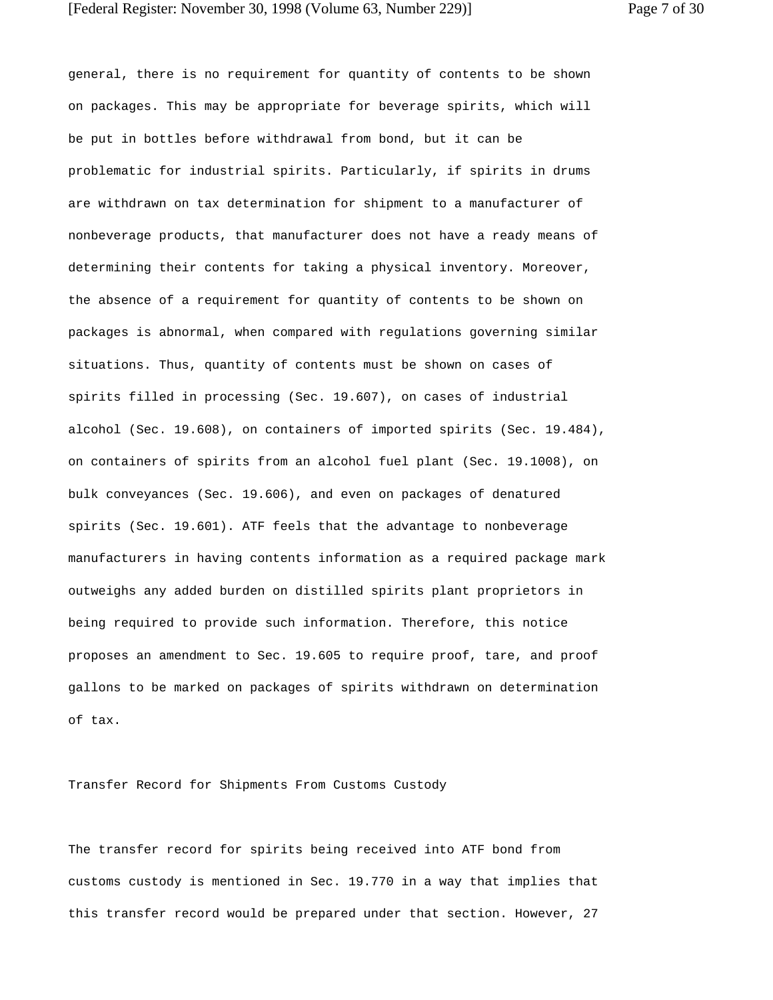general, there is no requirement for quantity of contents to be shown on packages. This may be appropriate for beverage spirits, which will be put in bottles before withdrawal from bond, but it can be problematic for industrial spirits. Particularly, if spirits in drums are withdrawn on tax determination for shipment to a manufacturer of nonbeverage products, that manufacturer does not have a ready means of determining their contents for taking a physical inventory. Moreover, the absence of a requirement for quantity of contents to be shown on packages is abnormal, when compared with regulations governing similar situations. Thus, quantity of contents must be shown on cases of spirits filled in processing (Sec. 19.607), on cases of industrial alcohol (Sec. 19.608), on containers of imported spirits (Sec. 19.484), on containers of spirits from an alcohol fuel plant (Sec. 19.1008), on bulk conveyances (Sec. 19.606), and even on packages of denatured spirits (Sec. 19.601). ATF feels that the advantage to nonbeverage manufacturers in having contents information as a required package mark outweighs any added burden on distilled spirits plant proprietors in being required to provide such information. Therefore, this notice proposes an amendment to Sec. 19.605 to require proof, tare, and proof gallons to be marked on packages of spirits withdrawn on determination of tax.

Transfer Record for Shipments From Customs Custody

The transfer record for spirits being received into ATF bond from customs custody is mentioned in Sec. 19.770 in a way that implies that this transfer record would be prepared under that section. However, 27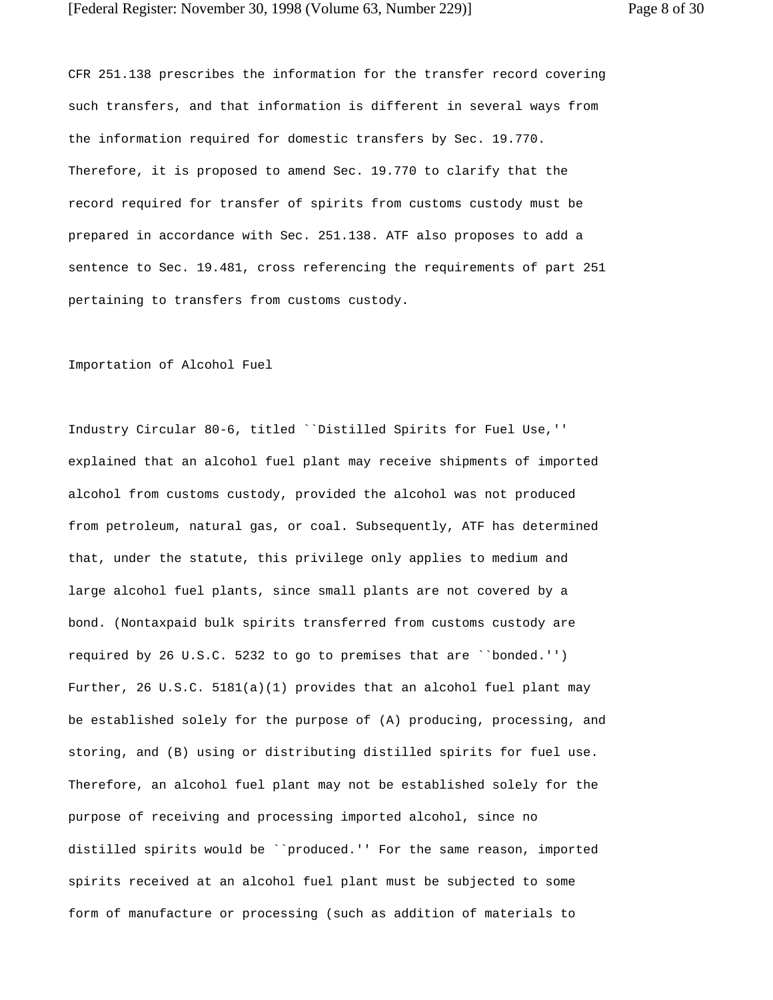CFR 251.138 prescribes the information for the transfer record covering such transfers, and that information is different in several ways from the information required for domestic transfers by Sec. 19.770. Therefore, it is proposed to amend Sec. 19.770 to clarify that the record required for transfer of spirits from customs custody must be prepared in accordance with Sec. 251.138. ATF also proposes to add a sentence to Sec. 19.481, cross referencing the requirements of part 251 pertaining to transfers from customs custody.

#### Importation of Alcohol Fuel

Industry Circular 80-6, titled ``Distilled Spirits for Fuel Use,'' explained that an alcohol fuel plant may receive shipments of imported alcohol from customs custody, provided the alcohol was not produced from petroleum, natural gas, or coal. Subsequently, ATF has determined that, under the statute, this privilege only applies to medium and large alcohol fuel plants, since small plants are not covered by a bond. (Nontaxpaid bulk spirits transferred from customs custody are required by 26 U.S.C. 5232 to go to premises that are ``bonded.'') Further, 26 U.S.C. 5181(a)(1) provides that an alcohol fuel plant may be established solely for the purpose of (A) producing, processing, and storing, and (B) using or distributing distilled spirits for fuel use. Therefore, an alcohol fuel plant may not be established solely for the purpose of receiving and processing imported alcohol, since no distilled spirits would be ``produced.'' For the same reason, imported spirits received at an alcohol fuel plant must be subjected to some form of manufacture or processing (such as addition of materials to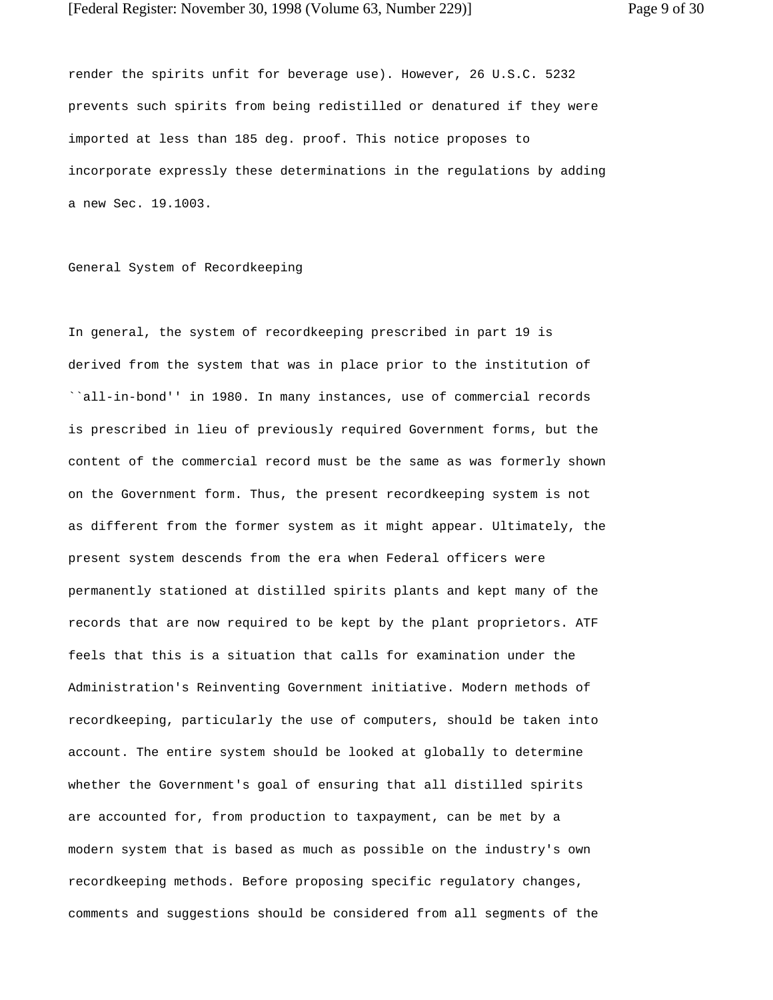render the spirits unfit for beverage use). However, 26 U.S.C. 5232 prevents such spirits from being redistilled or denatured if they were imported at less than 185 deg. proof. This notice proposes to incorporate expressly these determinations in the regulations by adding a new Sec. 19.1003.

General System of Recordkeeping

In general, the system of recordkeeping prescribed in part 19 is derived from the system that was in place prior to the institution of ``all-in-bond'' in 1980. In many instances, use of commercial records is prescribed in lieu of previously required Government forms, but the content of the commercial record must be the same as was formerly shown on the Government form. Thus, the present recordkeeping system is not as different from the former system as it might appear. Ultimately, the present system descends from the era when Federal officers were permanently stationed at distilled spirits plants and kept many of the records that are now required to be kept by the plant proprietors. ATF feels that this is a situation that calls for examination under the Administration's Reinventing Government initiative. Modern methods of recordkeeping, particularly the use of computers, should be taken into account. The entire system should be looked at globally to determine whether the Government's goal of ensuring that all distilled spirits are accounted for, from production to taxpayment, can be met by a modern system that is based as much as possible on the industry's own recordkeeping methods. Before proposing specific regulatory changes, comments and suggestions should be considered from all segments of the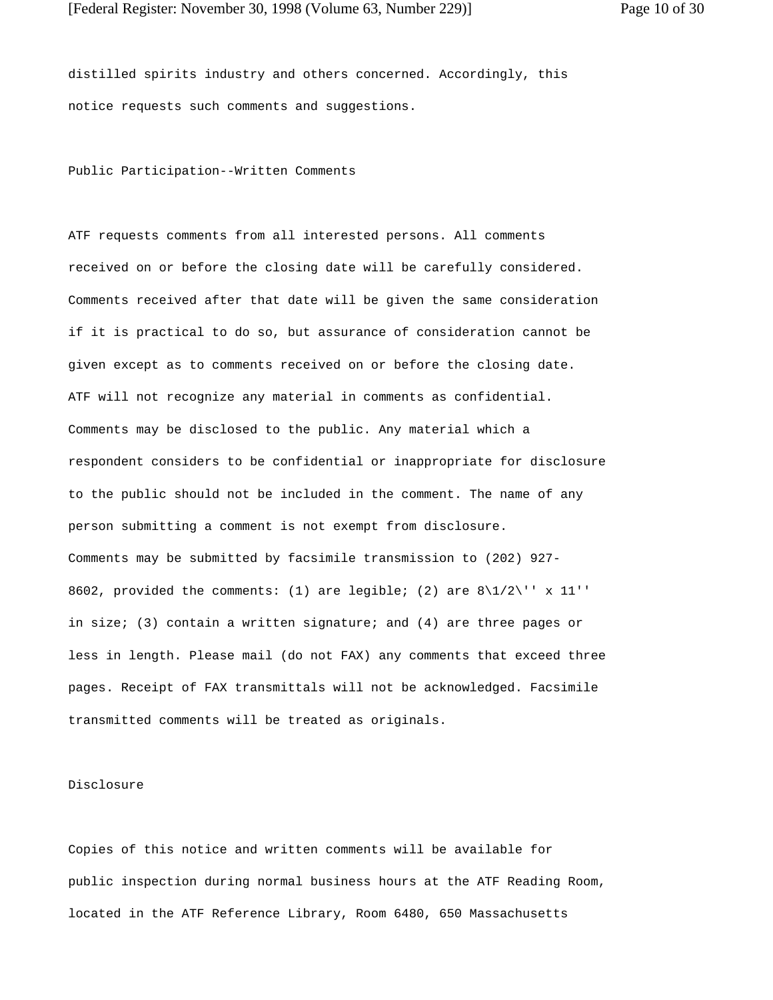distilled spirits industry and others concerned. Accordingly, this notice requests such comments and suggestions.

Public Participation--Written Comments

ATF requests comments from all interested persons. All comments received on or before the closing date will be carefully considered. Comments received after that date will be given the same consideration if it is practical to do so, but assurance of consideration cannot be given except as to comments received on or before the closing date. ATF will not recognize any material in comments as confidential. Comments may be disclosed to the public. Any material which a respondent considers to be confidential or inappropriate for disclosure to the public should not be included in the comment. The name of any person submitting a comment is not exempt from disclosure. Comments may be submitted by facsimile transmission to (202) 927- 8602, provided the comments: (1) are legible; (2) are  $8\frac{1}{2}\$  x 11'' in size; (3) contain a written signature; and (4) are three pages or less in length. Please mail (do not FAX) any comments that exceed three pages. Receipt of FAX transmittals will not be acknowledged. Facsimile transmitted comments will be treated as originals.

## Disclosure

Copies of this notice and written comments will be available for public inspection during normal business hours at the ATF Reading Room, located in the ATF Reference Library, Room 6480, 650 Massachusetts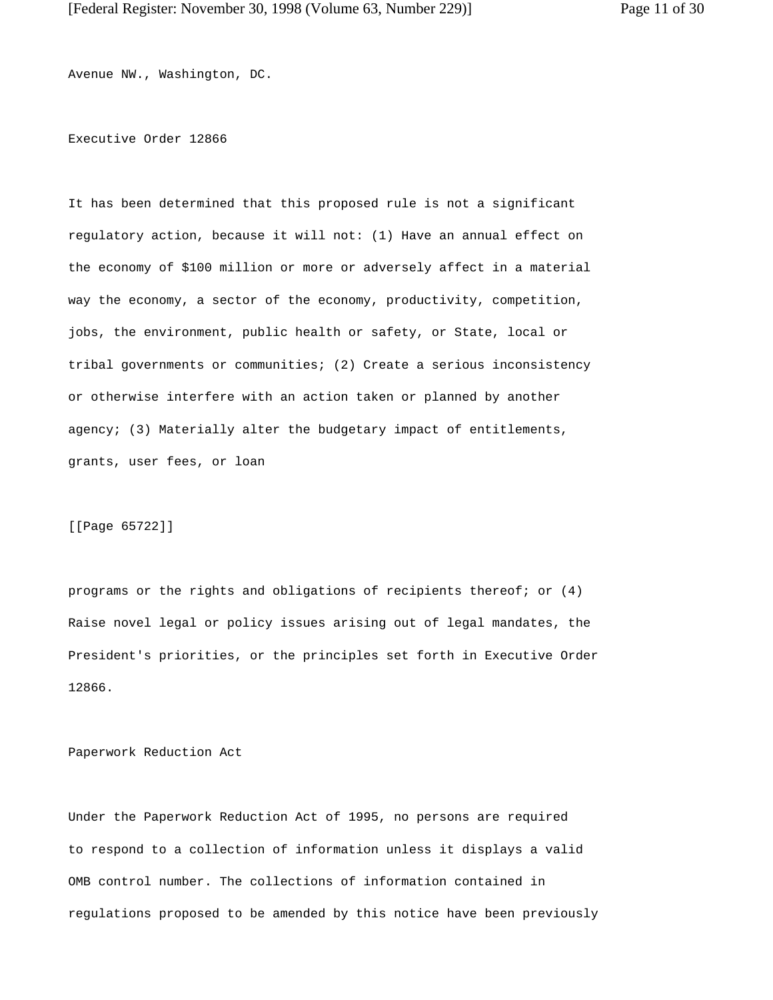Avenue NW., Washington, DC.

## Executive Order 12866

It has been determined that this proposed rule is not a significant regulatory action, because it will not: (1) Have an annual effect on the economy of \$100 million or more or adversely affect in a material way the economy, a sector of the economy, productivity, competition, jobs, the environment, public health or safety, or State, local or tribal governments or communities; (2) Create a serious inconsistency or otherwise interfere with an action taken or planned by another agency; (3) Materially alter the budgetary impact of entitlements, grants, user fees, or loan

[[Page 65722]]

programs or the rights and obligations of recipients thereof; or (4) Raise novel legal or policy issues arising out of legal mandates, the President's priorities, or the principles set forth in Executive Order 12866.

Paperwork Reduction Act

Under the Paperwork Reduction Act of 1995, no persons are required to respond to a collection of information unless it displays a valid OMB control number. The collections of information contained in regulations proposed to be amended by this notice have been previously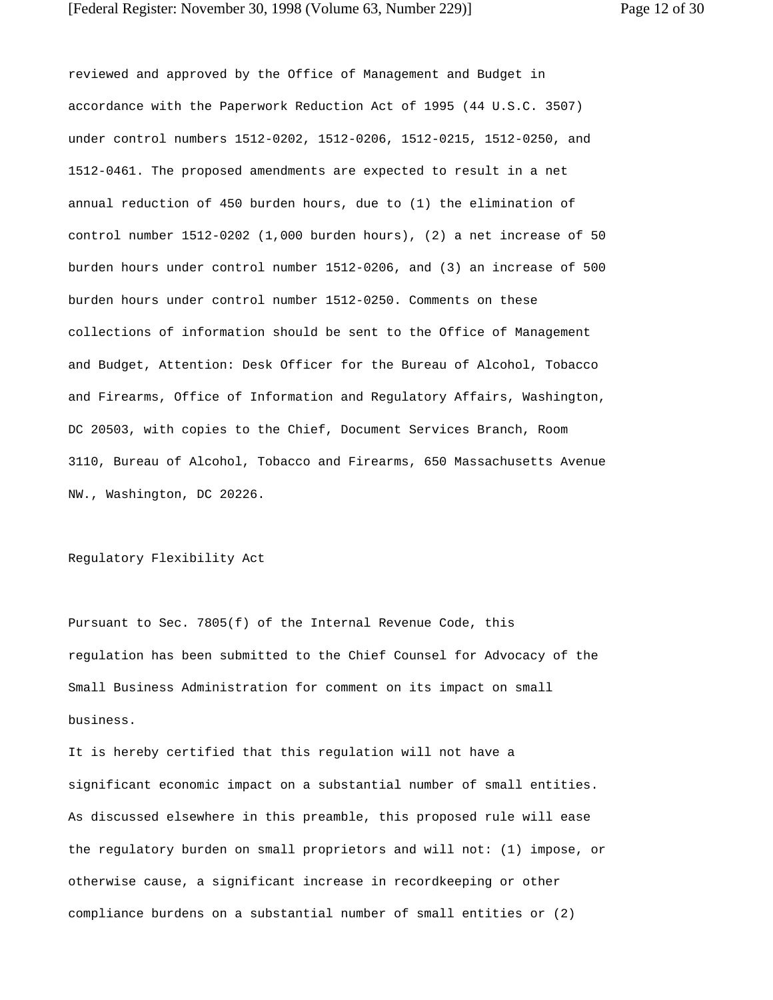reviewed and approved by the Office of Management and Budget in accordance with the Paperwork Reduction Act of 1995 (44 U.S.C. 3507) under control numbers 1512-0202, 1512-0206, 1512-0215, 1512-0250, and 1512-0461. The proposed amendments are expected to result in a net annual reduction of 450 burden hours, due to (1) the elimination of control number 1512-0202 (1,000 burden hours), (2) a net increase of 50 burden hours under control number 1512-0206, and (3) an increase of 500 burden hours under control number 1512-0250. Comments on these collections of information should be sent to the Office of Management and Budget, Attention: Desk Officer for the Bureau of Alcohol, Tobacco and Firearms, Office of Information and Regulatory Affairs, Washington, DC 20503, with copies to the Chief, Document Services Branch, Room 3110, Bureau of Alcohol, Tobacco and Firearms, 650 Massachusetts Avenue NW., Washington, DC 20226.

## Regulatory Flexibility Act

Pursuant to Sec. 7805(f) of the Internal Revenue Code, this regulation has been submitted to the Chief Counsel for Advocacy of the Small Business Administration for comment on its impact on small business.

It is hereby certified that this regulation will not have a significant economic impact on a substantial number of small entities. As discussed elsewhere in this preamble, this proposed rule will ease the regulatory burden on small proprietors and will not: (1) impose, or otherwise cause, a significant increase in recordkeeping or other compliance burdens on a substantial number of small entities or (2)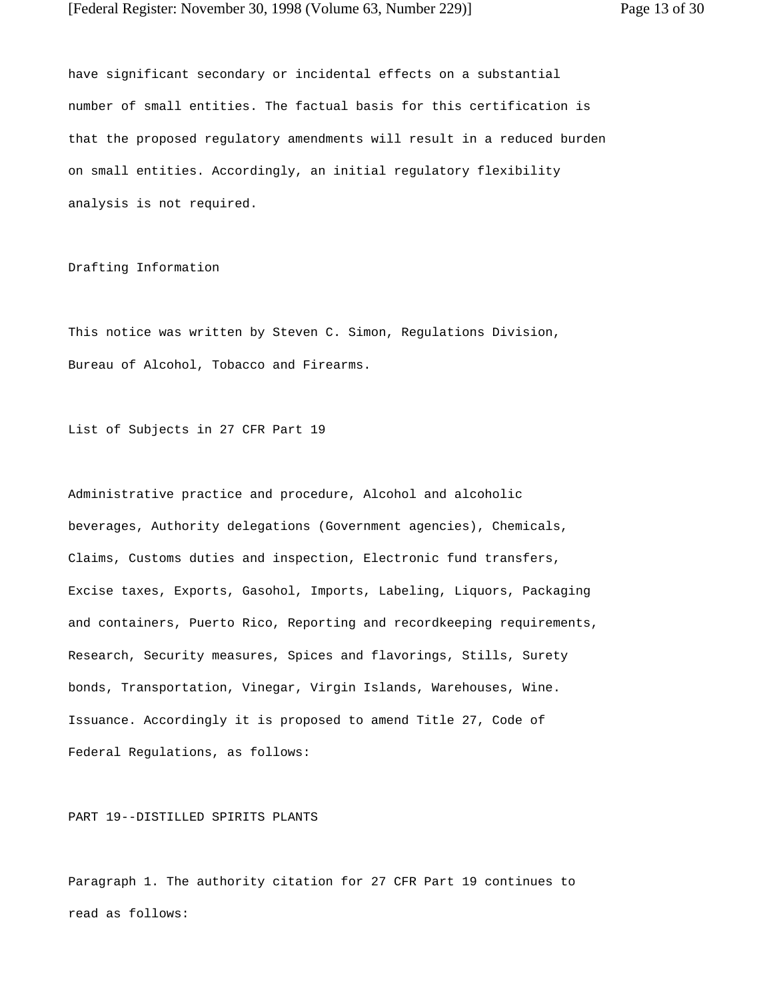have significant secondary or incidental effects on a substantial number of small entities. The factual basis for this certification is that the proposed regulatory amendments will result in a reduced burden on small entities. Accordingly, an initial regulatory flexibility analysis is not required.

Drafting Information

This notice was written by Steven C. Simon, Regulations Division, Bureau of Alcohol, Tobacco and Firearms.

List of Subjects in 27 CFR Part 19

Administrative practice and procedure, Alcohol and alcoholic beverages, Authority delegations (Government agencies), Chemicals, Claims, Customs duties and inspection, Electronic fund transfers, Excise taxes, Exports, Gasohol, Imports, Labeling, Liquors, Packaging and containers, Puerto Rico, Reporting and recordkeeping requirements, Research, Security measures, Spices and flavorings, Stills, Surety bonds, Transportation, Vinegar, Virgin Islands, Warehouses, Wine. Issuance. Accordingly it is proposed to amend Title 27, Code of Federal Regulations, as follows:

PART 19--DISTILLED SPIRITS PLANTS

Paragraph 1. The authority citation for 27 CFR Part 19 continues to read as follows: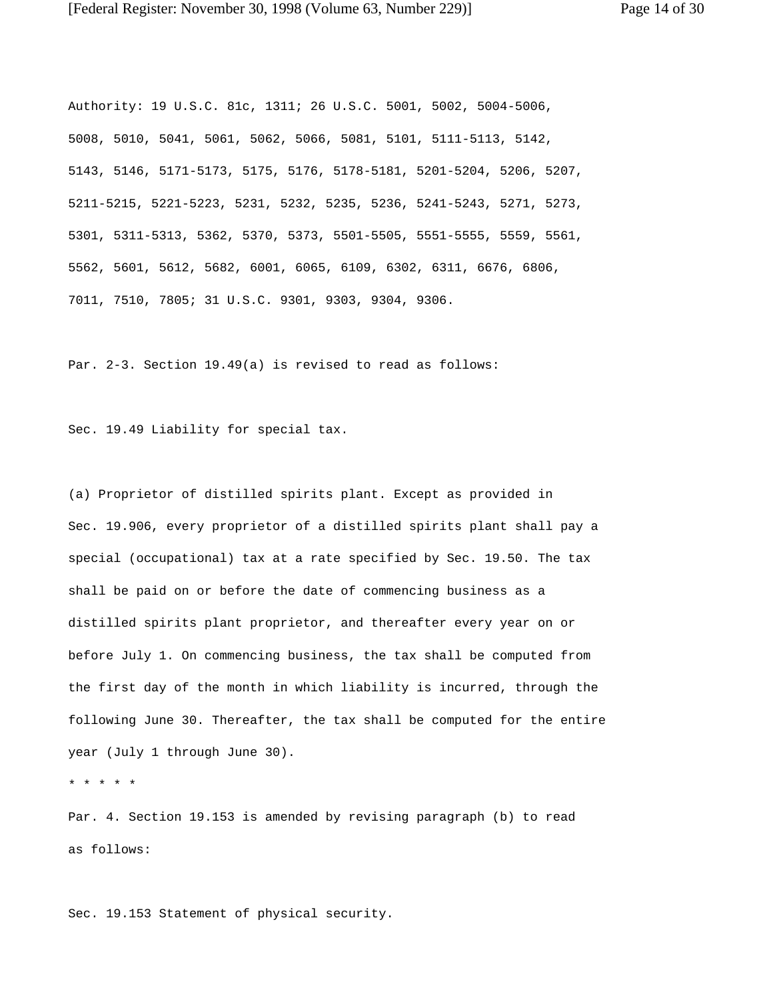Authority: 19 U.S.C. 81c, 1311; 26 U.S.C. 5001, 5002, 5004-5006, 5008, 5010, 5041, 5061, 5062, 5066, 5081, 5101, 5111-5113, 5142, 5143, 5146, 5171-5173, 5175, 5176, 5178-5181, 5201-5204, 5206, 5207, 5211-5215, 5221-5223, 5231, 5232, 5235, 5236, 5241-5243, 5271, 5273, 5301, 5311-5313, 5362, 5370, 5373, 5501-5505, 5551-5555, 5559, 5561, 5562, 5601, 5612, 5682, 6001, 6065, 6109, 6302, 6311, 6676, 6806, 7011, 7510, 7805; 31 U.S.C. 9301, 9303, 9304, 9306.

Par. 2-3. Section 19.49(a) is revised to read as follows:

Sec. 19.49 Liability for special tax.

(a) Proprietor of distilled spirits plant. Except as provided in Sec. 19.906, every proprietor of a distilled spirits plant shall pay a special (occupational) tax at a rate specified by Sec. 19.50. The tax shall be paid on or before the date of commencing business as a distilled spirits plant proprietor, and thereafter every year on or before July 1. On commencing business, the tax shall be computed from the first day of the month in which liability is incurred, through the following June 30. Thereafter, the tax shall be computed for the entire year (July 1 through June 30).

\* \* \* \* \*

Par. 4. Section 19.153 is amended by revising paragraph (b) to read as follows:

Sec. 19.153 Statement of physical security.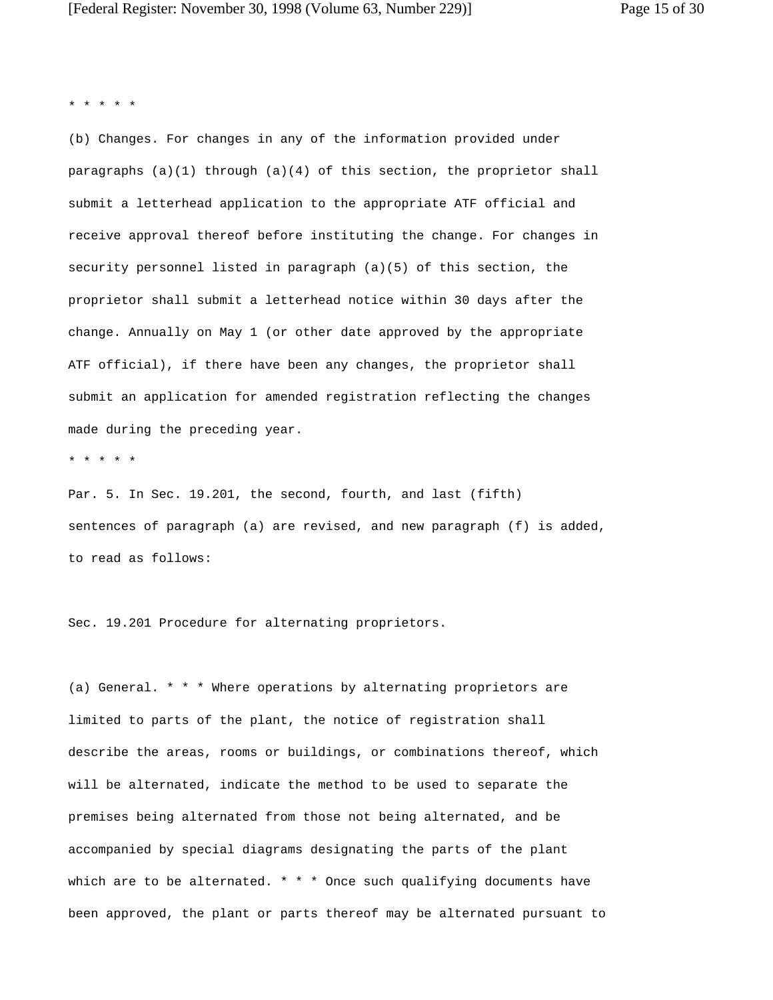\* \* \* \* \*

(b) Changes. For changes in any of the information provided under paragraphs (a)(1) through (a)(4) of this section, the proprietor shall submit a letterhead application to the appropriate ATF official and receive approval thereof before instituting the change. For changes in security personnel listed in paragraph (a)(5) of this section, the proprietor shall submit a letterhead notice within 30 days after the change. Annually on May 1 (or other date approved by the appropriate ATF official), if there have been any changes, the proprietor shall submit an application for amended registration reflecting the changes made during the preceding year.

\* \* \* \* \*

Par. 5. In Sec. 19.201, the second, fourth, and last (fifth) sentences of paragraph (a) are revised, and new paragraph (f) is added, to read as follows:

Sec. 19.201 Procedure for alternating proprietors.

(a) General. \* \* \* Where operations by alternating proprietors are limited to parts of the plant, the notice of registration shall describe the areas, rooms or buildings, or combinations thereof, which will be alternated, indicate the method to be used to separate the premises being alternated from those not being alternated, and be accompanied by special diagrams designating the parts of the plant which are to be alternated.  $* * *$  Once such qualifying documents have been approved, the plant or parts thereof may be alternated pursuant to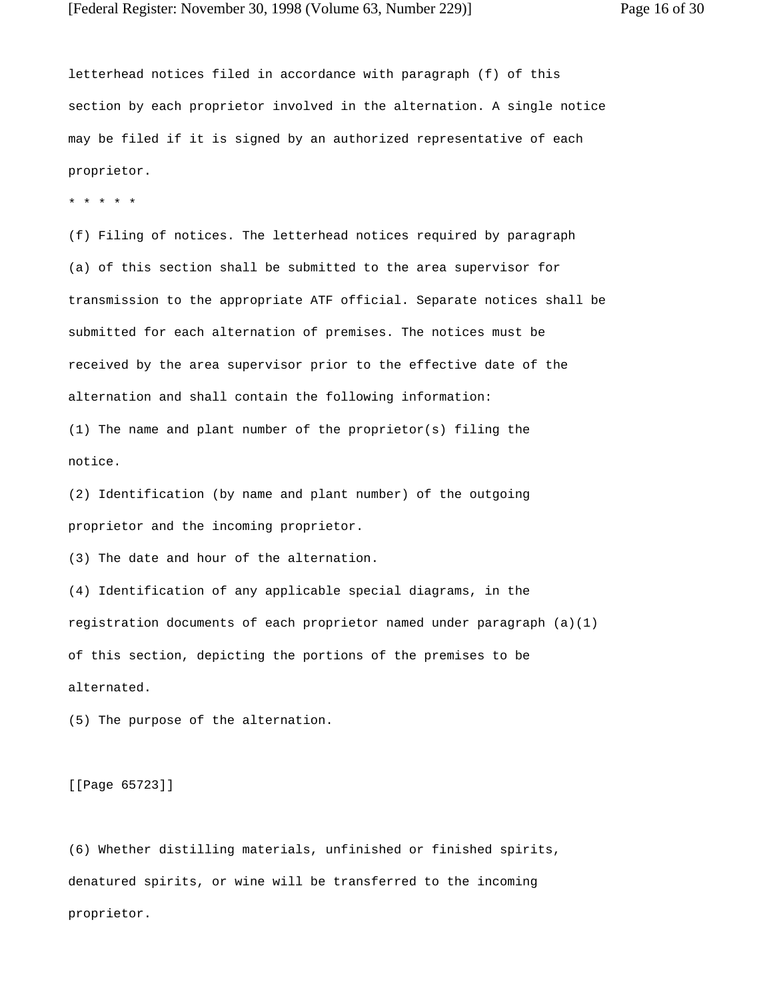letterhead notices filed in accordance with paragraph (f) of this section by each proprietor involved in the alternation. A single notice may be filed if it is signed by an authorized representative of each proprietor.

\* \* \* \* \*

(f) Filing of notices. The letterhead notices required by paragraph (a) of this section shall be submitted to the area supervisor for transmission to the appropriate ATF official. Separate notices shall be submitted for each alternation of premises. The notices must be received by the area supervisor prior to the effective date of the alternation and shall contain the following information:

(1) The name and plant number of the proprietor(s) filing the notice.

(2) Identification (by name and plant number) of the outgoing proprietor and the incoming proprietor.

(3) The date and hour of the alternation.

(4) Identification of any applicable special diagrams, in the registration documents of each proprietor named under paragraph (a)(1) of this section, depicting the portions of the premises to be alternated.

(5) The purpose of the alternation.

[[Page 65723]]

(6) Whether distilling materials, unfinished or finished spirits, denatured spirits, or wine will be transferred to the incoming proprietor.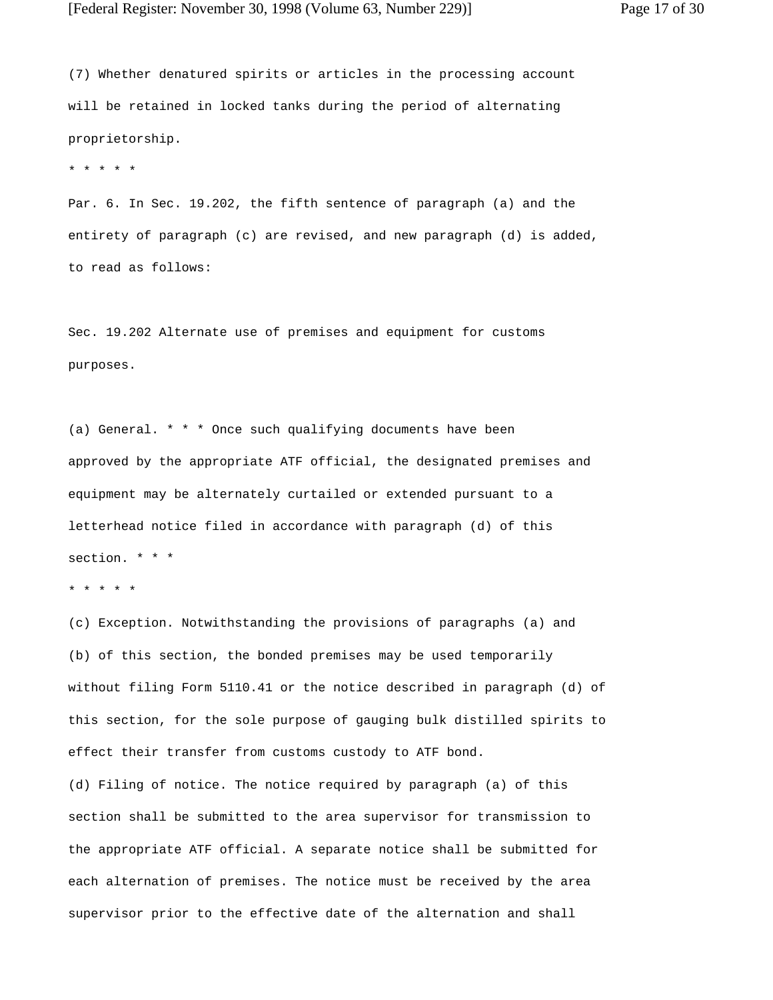(7) Whether denatured spirits or articles in the processing account will be retained in locked tanks during the period of alternating proprietorship.

\* \* \* \* \*

Par. 6. In Sec. 19.202, the fifth sentence of paragraph (a) and the entirety of paragraph (c) are revised, and new paragraph (d) is added, to read as follows:

Sec. 19.202 Alternate use of premises and equipment for customs purposes.

(a) General. \* \* \* Once such qualifying documents have been approved by the appropriate ATF official, the designated premises and equipment may be alternately curtailed or extended pursuant to a letterhead notice filed in accordance with paragraph (d) of this section. \* \* \*

```
* * * * *
```
(c) Exception. Notwithstanding the provisions of paragraphs (a) and (b) of this section, the bonded premises may be used temporarily without filing Form 5110.41 or the notice described in paragraph (d) of this section, for the sole purpose of gauging bulk distilled spirits to effect their transfer from customs custody to ATF bond.

(d) Filing of notice. The notice required by paragraph (a) of this section shall be submitted to the area supervisor for transmission to the appropriate ATF official. A separate notice shall be submitted for each alternation of premises. The notice must be received by the area supervisor prior to the effective date of the alternation and shall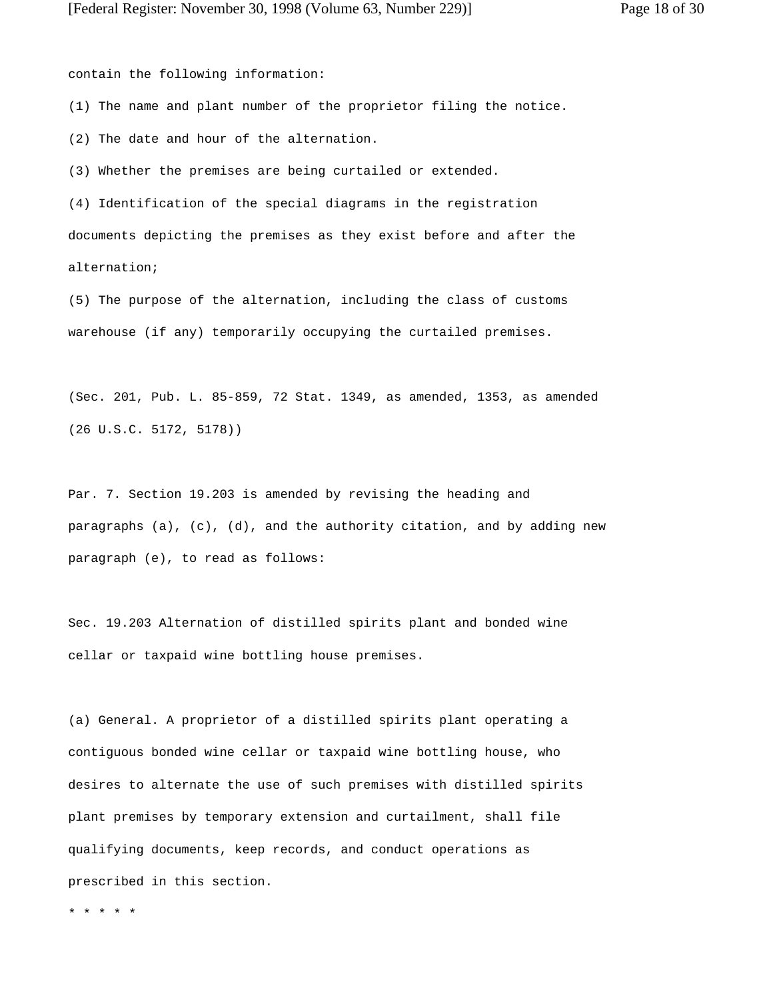(1) The name and plant number of the proprietor filing the notice.

(2) The date and hour of the alternation.

(3) Whether the premises are being curtailed or extended.

(4) Identification of the special diagrams in the registration documents depicting the premises as they exist before and after the alternation;

(5) The purpose of the alternation, including the class of customs warehouse (if any) temporarily occupying the curtailed premises.

(Sec. 201, Pub. L. 85-859, 72 Stat. 1349, as amended, 1353, as amended (26 U.S.C. 5172, 5178))

Par. 7. Section 19.203 is amended by revising the heading and paragraphs (a), (c), (d), and the authority citation, and by adding new paragraph (e), to read as follows:

Sec. 19.203 Alternation of distilled spirits plant and bonded wine cellar or taxpaid wine bottling house premises.

(a) General. A proprietor of a distilled spirits plant operating a contiguous bonded wine cellar or taxpaid wine bottling house, who desires to alternate the use of such premises with distilled spirits plant premises by temporary extension and curtailment, shall file qualifying documents, keep records, and conduct operations as prescribed in this section.

\* \* \* \* \*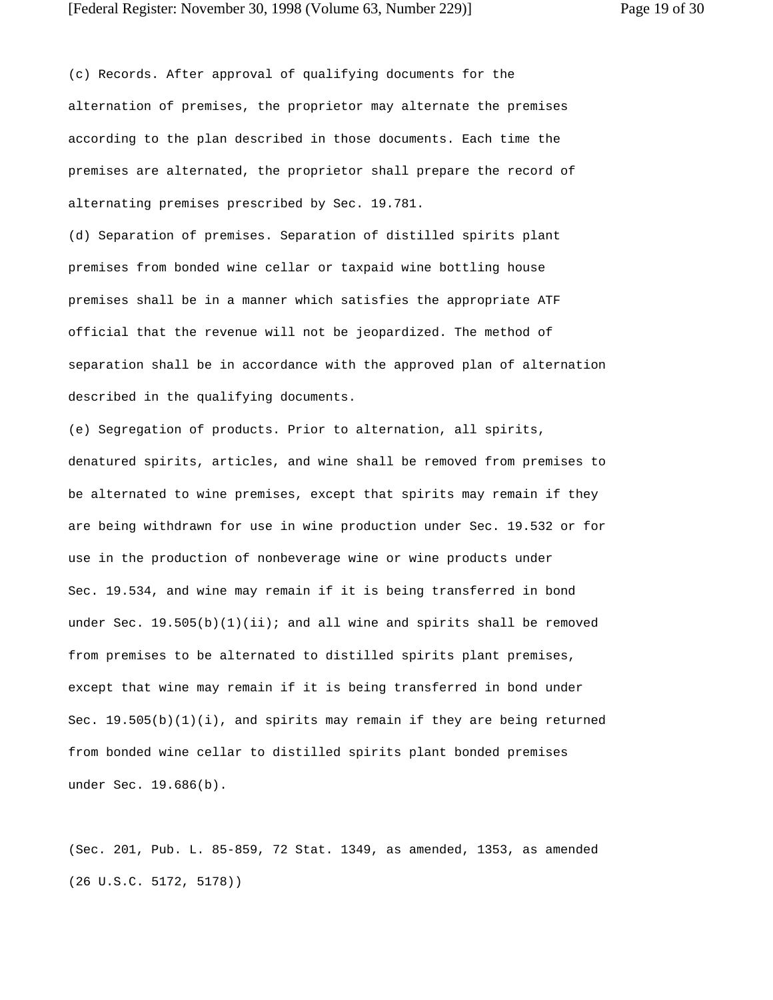(c) Records. After approval of qualifying documents for the alternation of premises, the proprietor may alternate the premises according to the plan described in those documents. Each time the premises are alternated, the proprietor shall prepare the record of alternating premises prescribed by Sec. 19.781.

(d) Separation of premises. Separation of distilled spirits plant premises from bonded wine cellar or taxpaid wine bottling house premises shall be in a manner which satisfies the appropriate ATF official that the revenue will not be jeopardized. The method of separation shall be in accordance with the approved plan of alternation described in the qualifying documents.

(e) Segregation of products. Prior to alternation, all spirits, denatured spirits, articles, and wine shall be removed from premises to be alternated to wine premises, except that spirits may remain if they are being withdrawn for use in wine production under Sec. 19.532 or for use in the production of nonbeverage wine or wine products under Sec. 19.534, and wine may remain if it is being transferred in bond under Sec.  $19.505(b)(1)(ii)$ ; and all wine and spirits shall be removed from premises to be alternated to distilled spirits plant premises, except that wine may remain if it is being transferred in bond under Sec.  $19.505(b)(1)(i)$ , and spirits may remain if they are being returned from bonded wine cellar to distilled spirits plant bonded premises under Sec. 19.686(b).

(Sec. 201, Pub. L. 85-859, 72 Stat. 1349, as amended, 1353, as amended (26 U.S.C. 5172, 5178))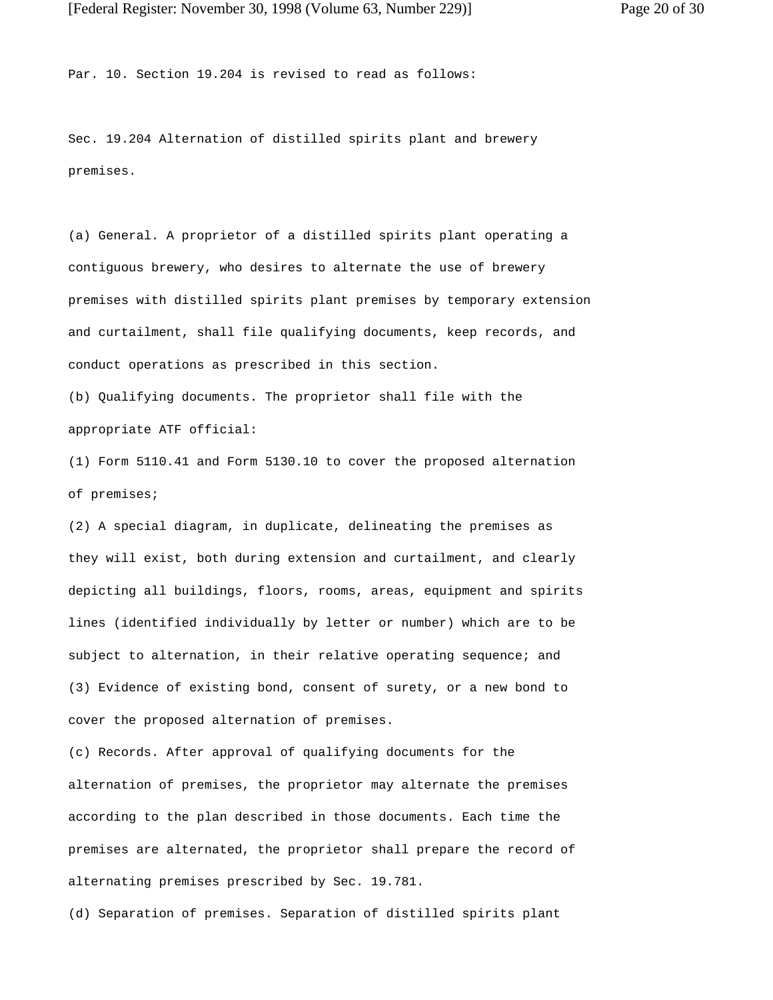Par. 10. Section 19.204 is revised to read as follows:

Sec. 19.204 Alternation of distilled spirits plant and brewery premises.

(a) General. A proprietor of a distilled spirits plant operating a contiguous brewery, who desires to alternate the use of brewery premises with distilled spirits plant premises by temporary extension and curtailment, shall file qualifying documents, keep records, and conduct operations as prescribed in this section.

(b) Qualifying documents. The proprietor shall file with the appropriate ATF official:

(1) Form 5110.41 and Form 5130.10 to cover the proposed alternation of premises;

(2) A special diagram, in duplicate, delineating the premises as they will exist, both during extension and curtailment, and clearly depicting all buildings, floors, rooms, areas, equipment and spirits lines (identified individually by letter or number) which are to be subject to alternation, in their relative operating sequence; and (3) Evidence of existing bond, consent of surety, or a new bond to cover the proposed alternation of premises.

(c) Records. After approval of qualifying documents for the alternation of premises, the proprietor may alternate the premises according to the plan described in those documents. Each time the premises are alternated, the proprietor shall prepare the record of alternating premises prescribed by Sec. 19.781.

(d) Separation of premises. Separation of distilled spirits plant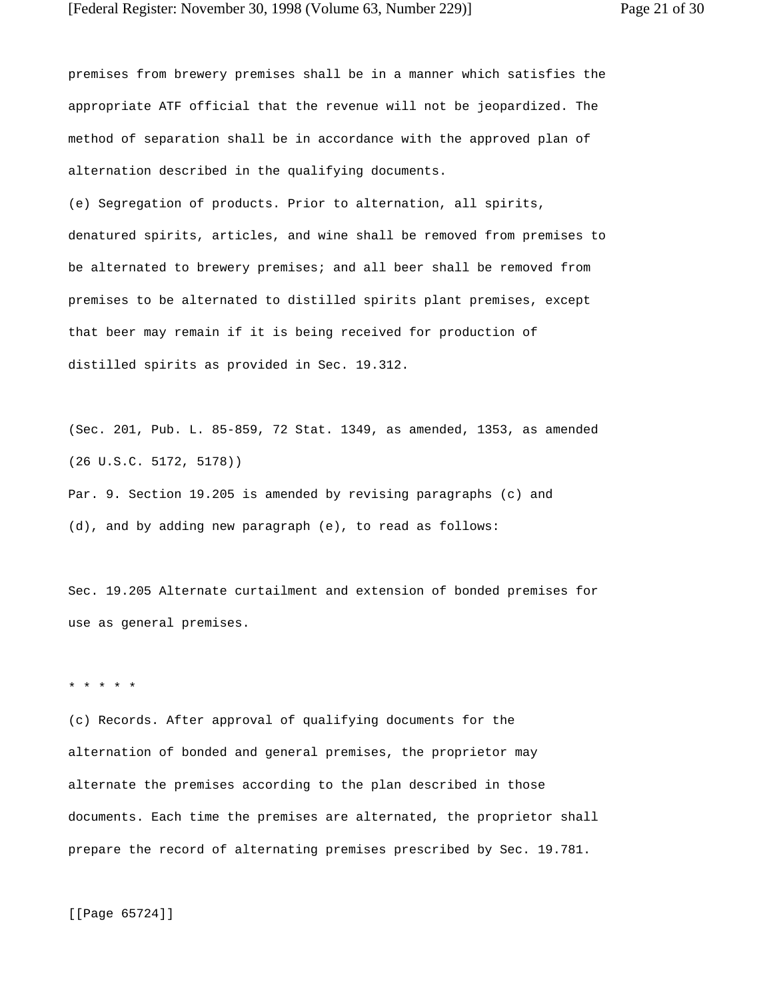premises from brewery premises shall be in a manner which satisfies the appropriate ATF official that the revenue will not be jeopardized. The method of separation shall be in accordance with the approved plan of alternation described in the qualifying documents.

(e) Segregation of products. Prior to alternation, all spirits, denatured spirits, articles, and wine shall be removed from premises to be alternated to brewery premises; and all beer shall be removed from premises to be alternated to distilled spirits plant premises, except that beer may remain if it is being received for production of distilled spirits as provided in Sec. 19.312.

(Sec. 201, Pub. L. 85-859, 72 Stat. 1349, as amended, 1353, as amended (26 U.S.C. 5172, 5178))

Par. 9. Section 19.205 is amended by revising paragraphs (c) and (d), and by adding new paragraph (e), to read as follows:

Sec. 19.205 Alternate curtailment and extension of bonded premises for use as general premises.

## \* \* \* \* \*

(c) Records. After approval of qualifying documents for the alternation of bonded and general premises, the proprietor may alternate the premises according to the plan described in those documents. Each time the premises are alternated, the proprietor shall prepare the record of alternating premises prescribed by Sec. 19.781.

[[Page 65724]]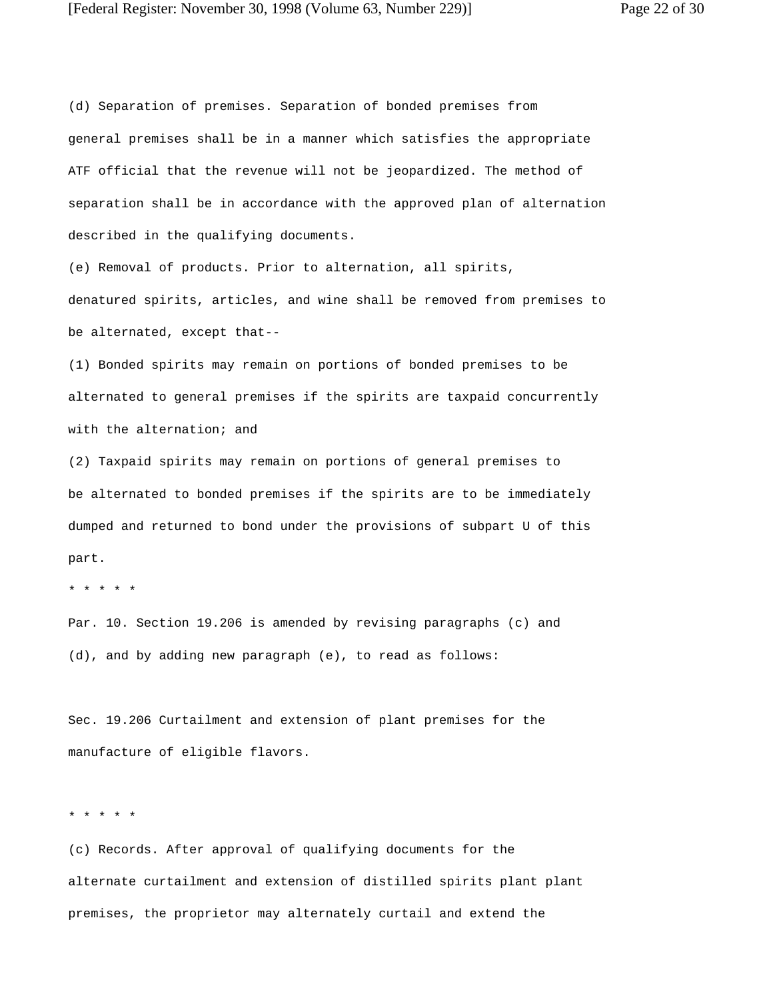(d) Separation of premises. Separation of bonded premises from general premises shall be in a manner which satisfies the appropriate ATF official that the revenue will not be jeopardized. The method of separation shall be in accordance with the approved plan of alternation described in the qualifying documents.

(e) Removal of products. Prior to alternation, all spirits, denatured spirits, articles, and wine shall be removed from premises to be alternated, except that--

(1) Bonded spirits may remain on portions of bonded premises to be alternated to general premises if the spirits are taxpaid concurrently with the alternation; and

(2) Taxpaid spirits may remain on portions of general premises to be alternated to bonded premises if the spirits are to be immediately dumped and returned to bond under the provisions of subpart U of this part.

\* \* \* \* \*

Par. 10. Section 19.206 is amended by revising paragraphs (c) and (d), and by adding new paragraph (e), to read as follows:

Sec. 19.206 Curtailment and extension of plant premises for the manufacture of eligible flavors.

\* \* \* \* \*

(c) Records. After approval of qualifying documents for the alternate curtailment and extension of distilled spirits plant plant premises, the proprietor may alternately curtail and extend the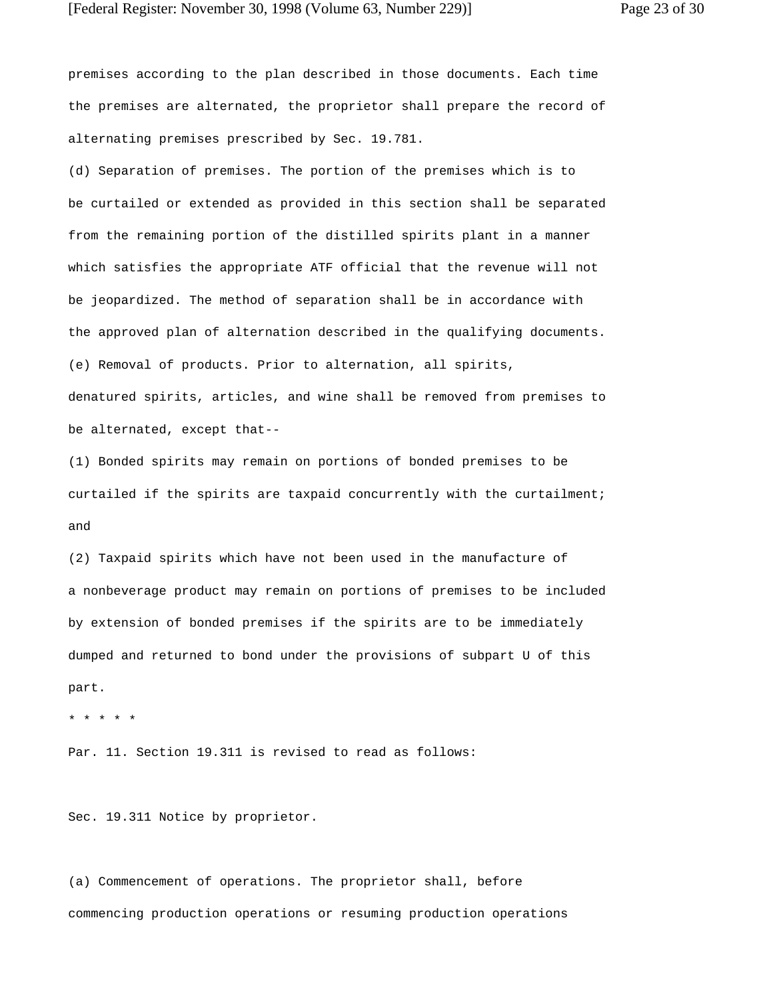premises according to the plan described in those documents. Each time the premises are alternated, the proprietor shall prepare the record of alternating premises prescribed by Sec. 19.781.

(d) Separation of premises. The portion of the premises which is to be curtailed or extended as provided in this section shall be separated from the remaining portion of the distilled spirits plant in a manner which satisfies the appropriate ATF official that the revenue will not be jeopardized. The method of separation shall be in accordance with the approved plan of alternation described in the qualifying documents. (e) Removal of products. Prior to alternation, all spirits, denatured spirits, articles, and wine shall be removed from premises to be alternated, except that--

(1) Bonded spirits may remain on portions of bonded premises to be curtailed if the spirits are taxpaid concurrently with the curtailment; and

(2) Taxpaid spirits which have not been used in the manufacture of a nonbeverage product may remain on portions of premises to be included by extension of bonded premises if the spirits are to be immediately dumped and returned to bond under the provisions of subpart U of this part.

```
* * * * *
```
Par. 11. Section 19.311 is revised to read as follows:

Sec. 19.311 Notice by proprietor.

(a) Commencement of operations. The proprietor shall, before commencing production operations or resuming production operations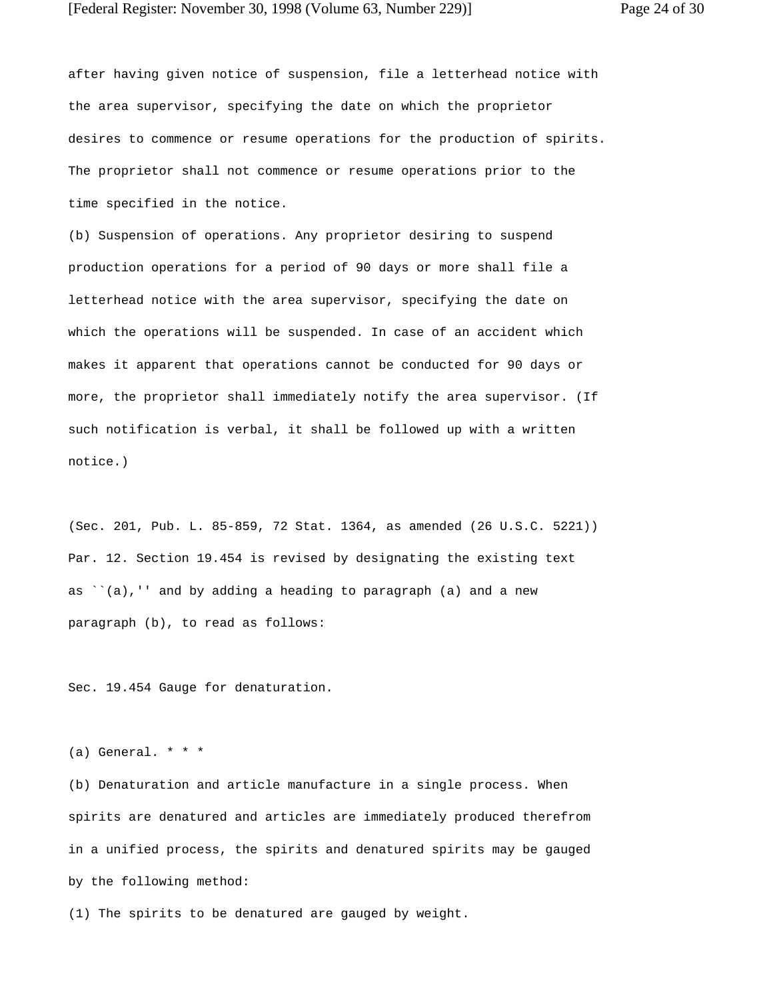after having given notice of suspension, file a letterhead notice with the area supervisor, specifying the date on which the proprietor desires to commence or resume operations for the production of spirits. The proprietor shall not commence or resume operations prior to the time specified in the notice.

(b) Suspension of operations. Any proprietor desiring to suspend production operations for a period of 90 days or more shall file a letterhead notice with the area supervisor, specifying the date on which the operations will be suspended. In case of an accident which makes it apparent that operations cannot be conducted for 90 days or more, the proprietor shall immediately notify the area supervisor. (If such notification is verbal, it shall be followed up with a written notice.)

(Sec. 201, Pub. L. 85-859, 72 Stat. 1364, as amended (26 U.S.C. 5221)) Par. 12. Section 19.454 is revised by designating the existing text as ``(a),'' and by adding a heading to paragraph (a) and a new paragraph (b), to read as follows:

Sec. 19.454 Gauge for denaturation.

 $(a)$  General. \* \* \*

(b) Denaturation and article manufacture in a single process. When spirits are denatured and articles are immediately produced therefrom in a unified process, the spirits and denatured spirits may be gauged by the following method:

(1) The spirits to be denatured are gauged by weight.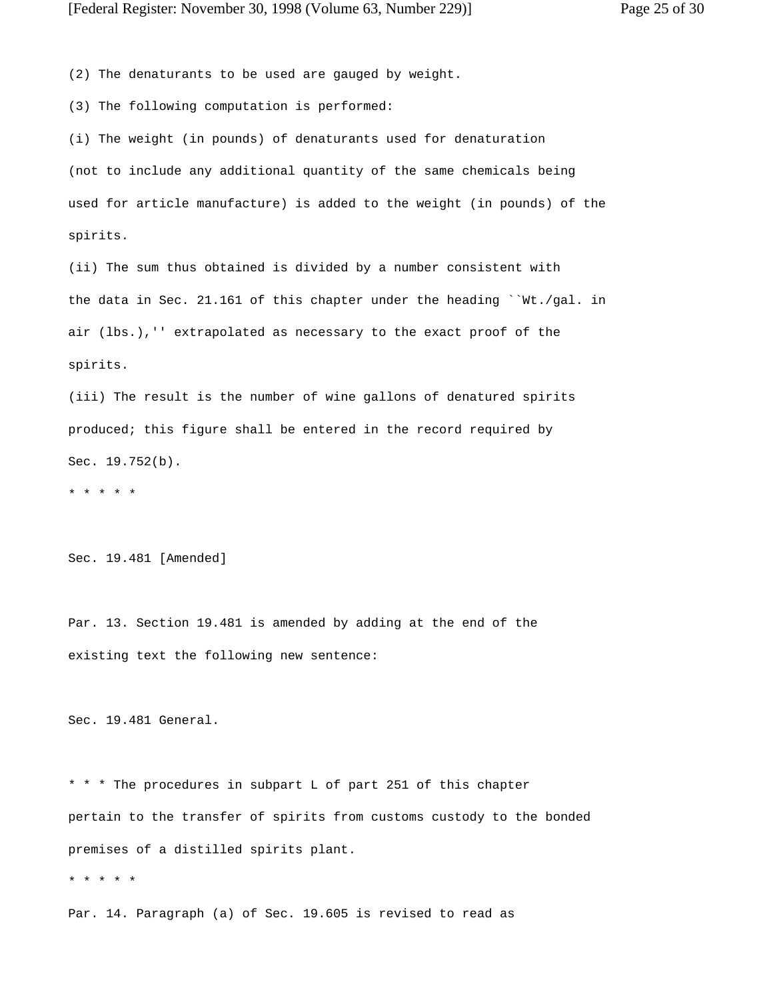(2) The denaturants to be used are gauged by weight.

(3) The following computation is performed:

(i) The weight (in pounds) of denaturants used for denaturation (not to include any additional quantity of the same chemicals being used for article manufacture) is added to the weight (in pounds) of the spirits.

(ii) The sum thus obtained is divided by a number consistent with the data in Sec. 21.161 of this chapter under the heading ``Wt./gal. in air (lbs.),'' extrapolated as necessary to the exact proof of the spirits.

(iii) The result is the number of wine gallons of denatured spirits produced; this figure shall be entered in the record required by Sec. 19.752(b).

\* \* \* \* \*

Sec. 19.481 [Amended]

Par. 13. Section 19.481 is amended by adding at the end of the existing text the following new sentence:

Sec. 19.481 General.

\* \* \* The procedures in subpart L of part 251 of this chapter pertain to the transfer of spirits from customs custody to the bonded premises of a distilled spirits plant.

\* \* \* \* \*

Par. 14. Paragraph (a) of Sec. 19.605 is revised to read as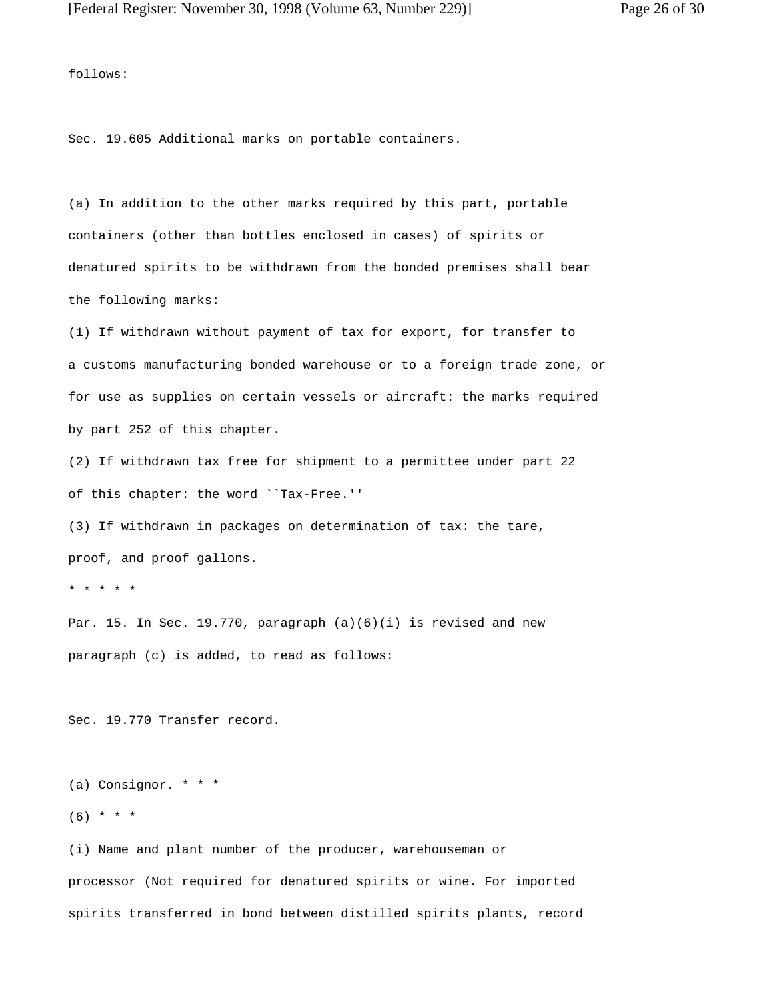follows:

Sec. 19.605 Additional marks on portable containers.

(a) In addition to the other marks required by this part, portable containers (other than bottles enclosed in cases) of spirits or denatured spirits to be withdrawn from the bonded premises shall bear the following marks:

(1) If withdrawn without payment of tax for export, for transfer to a customs manufacturing bonded warehouse or to a foreign trade zone, or for use as supplies on certain vessels or aircraft: the marks required by part 252 of this chapter.

(2) If withdrawn tax free for shipment to a permittee under part 22 of this chapter: the word ``Tax-Free.''

(3) If withdrawn in packages on determination of tax: the tare, proof, and proof gallons.

\* \* \* \* \*

Par. 15. In Sec. 19.770, paragraph  $(a)(6)(i)$  is revised and new paragraph (c) is added, to read as follows:

Sec. 19.770 Transfer record.

```
(a) Consignor. * * *
```
 $(6)$  \* \* \*

(i) Name and plant number of the producer, warehouseman or processor (Not required for denatured spirits or wine. For imported spirits transferred in bond between distilled spirits plants, record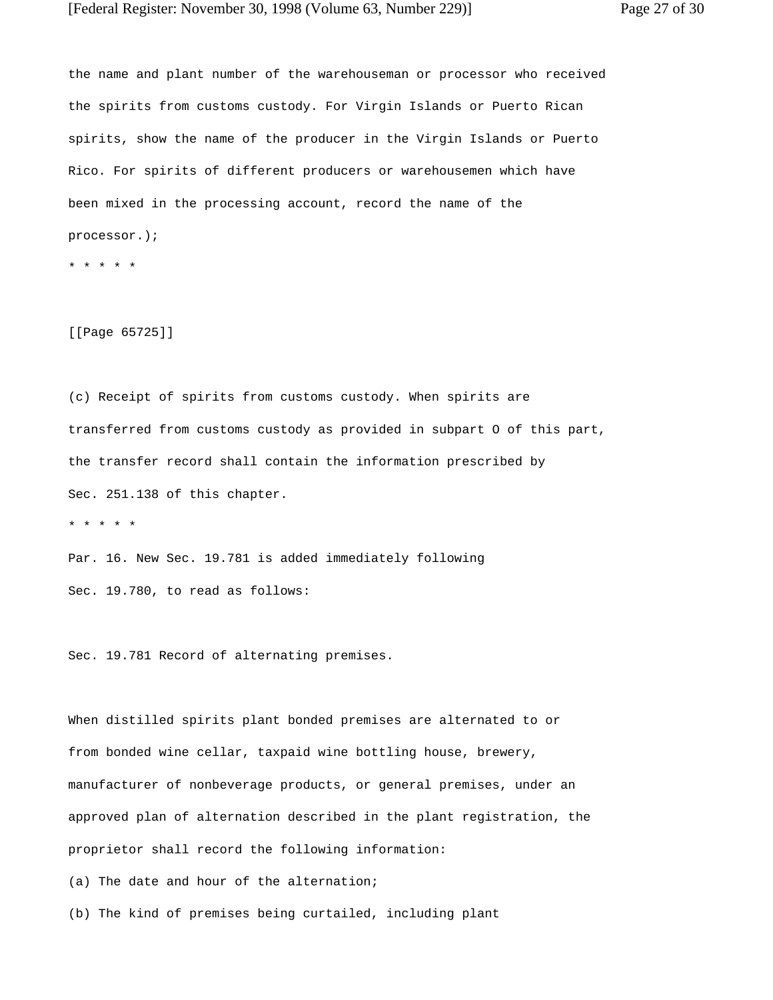the name and plant number of the warehouseman or processor who received the spirits from customs custody. For Virgin Islands or Puerto Rican spirits, show the name of the producer in the Virgin Islands or Puerto Rico. For spirits of different producers or warehousemen which have been mixed in the processing account, record the name of the processor.);

\* \* \* \* \*

[[Page 65725]]

(c) Receipt of spirits from customs custody. When spirits are transferred from customs custody as provided in subpart O of this part, the transfer record shall contain the information prescribed by Sec. 251.138 of this chapter.

\* \* \* \* \*

Par. 16. New Sec. 19.781 is added immediately following Sec. 19.780, to read as follows:

Sec. 19.781 Record of alternating premises.

When distilled spirits plant bonded premises are alternated to or from bonded wine cellar, taxpaid wine bottling house, brewery, manufacturer of nonbeverage products, or general premises, under an approved plan of alternation described in the plant registration, the proprietor shall record the following information:

(a) The date and hour of the alternation;

(b) The kind of premises being curtailed, including plant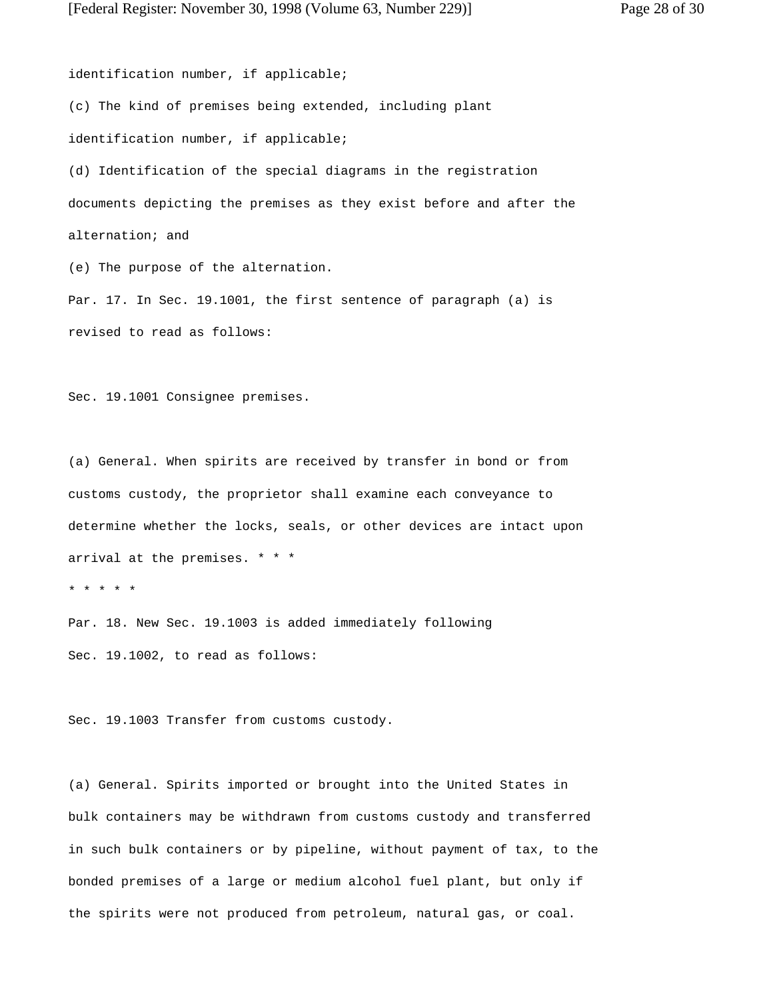identification number, if applicable; (c) The kind of premises being extended, including plant identification number, if applicable; (d) Identification of the special diagrams in the registration documents depicting the premises as they exist before and after the alternation; and (e) The purpose of the alternation.

Par. 17. In Sec. 19.1001, the first sentence of paragraph (a) is revised to read as follows:

Sec. 19.1001 Consignee premises.

(a) General. When spirits are received by transfer in bond or from customs custody, the proprietor shall examine each conveyance to determine whether the locks, seals, or other devices are intact upon arrival at the premises. \* \* \*

\* \* \* \* \*

Par. 18. New Sec. 19.1003 is added immediately following Sec. 19.1002, to read as follows:

Sec. 19.1003 Transfer from customs custody.

(a) General. Spirits imported or brought into the United States in bulk containers may be withdrawn from customs custody and transferred in such bulk containers or by pipeline, without payment of tax, to the bonded premises of a large or medium alcohol fuel plant, but only if the spirits were not produced from petroleum, natural gas, or coal.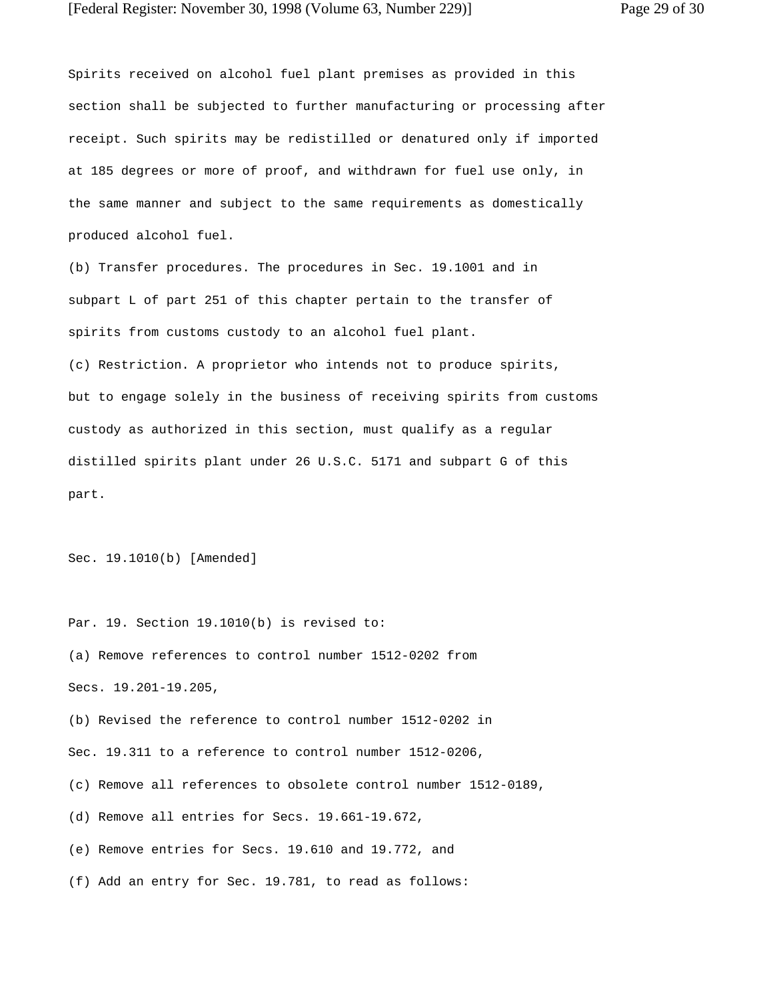Spirits received on alcohol fuel plant premises as provided in this section shall be subjected to further manufacturing or processing after receipt. Such spirits may be redistilled or denatured only if imported at 185 degrees or more of proof, and withdrawn for fuel use only, in the same manner and subject to the same requirements as domestically produced alcohol fuel.

(b) Transfer procedures. The procedures in Sec. 19.1001 and in subpart L of part 251 of this chapter pertain to the transfer of spirits from customs custody to an alcohol fuel plant.

(c) Restriction. A proprietor who intends not to produce spirits, but to engage solely in the business of receiving spirits from customs custody as authorized in this section, must qualify as a regular distilled spirits plant under 26 U.S.C. 5171 and subpart G of this part.

Sec. 19.1010(b) [Amended]

Par. 19. Section 19.1010(b) is revised to: (a) Remove references to control number 1512-0202 from Secs. 19.201-19.205, (b) Revised the reference to control number 1512-0202 in Sec. 19.311 to a reference to control number 1512-0206, (c) Remove all references to obsolete control number 1512-0189, (d) Remove all entries for Secs. 19.661-19.672, (e) Remove entries for Secs. 19.610 and 19.772, and

(f) Add an entry for Sec. 19.781, to read as follows: